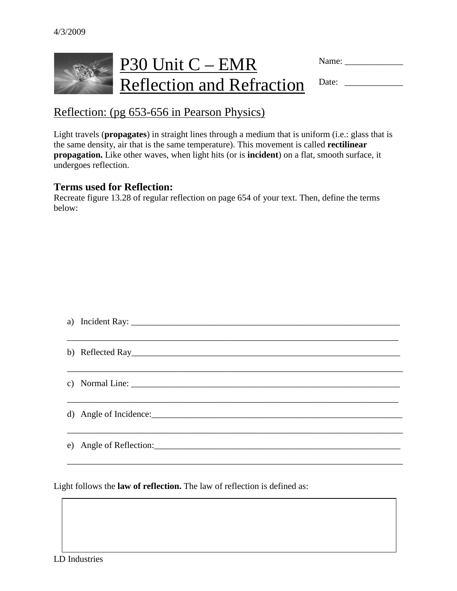

Name: \_\_\_\_\_\_\_\_\_\_\_\_\_

Reflection: (pg 653-656 in Pearson Physics)

Light travels (**propagates**) in straight lines through a medium that is uniform (i.e.: glass that is the same density, air that is the same temperature). This movement is called **rectilinear propagation.** Like other waves, when light hits (or is **incident**) on a flat, smooth surface, it undergoes reflection.

#### **Terms used for Reflection:**

Recreate figure 13.28 of regular reflection on page 654 of your text. Then, define the terms below:

| b) Reflected Ray        |
|-------------------------|
|                         |
|                         |
|                         |
| d) Angle of Incidence:  |
|                         |
| e) Angle of Reflection: |
|                         |

\_\_\_\_\_\_\_\_\_\_\_\_\_\_\_\_\_\_\_\_\_\_\_\_\_\_\_\_\_\_\_\_\_\_\_\_\_\_\_\_\_\_\_\_\_\_\_\_\_\_\_\_\_\_\_\_\_\_\_\_\_\_\_\_\_\_\_\_\_\_\_\_\_\_\_

Light follows the **law of reflection.** The law of reflection is defined as: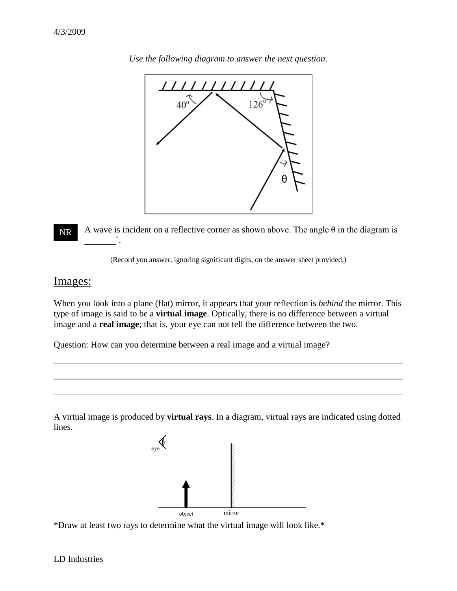

*Use the following diagram to answer the next question*.

A wave is incident on a reflective corner as shown above. The angle  $\theta$  in the diagram is  $\overbrace{\phantom{aaaaa}}^{\circ}$  . NR

(Record you answer, ignoring significant digits, on the answer sheet provided.)

### Images:

When you look into a plane (flat) mirror, it appears that your reflection is *behind* the mirror. This type of image is said to be a **virtual image**. Optically, there is no difference between a virtual image and a **real image**; that is, your eye can not tell the difference between the two.

\_\_\_\_\_\_\_\_\_\_\_\_\_\_\_\_\_\_\_\_\_\_\_\_\_\_\_\_\_\_\_\_\_\_\_\_\_\_\_\_\_\_\_\_\_\_\_\_\_\_\_\_\_\_\_\_\_\_\_\_\_\_\_\_\_\_\_\_\_\_\_\_\_\_\_\_\_\_

\_\_\_\_\_\_\_\_\_\_\_\_\_\_\_\_\_\_\_\_\_\_\_\_\_\_\_\_\_\_\_\_\_\_\_\_\_\_\_\_\_\_\_\_\_\_\_\_\_\_\_\_\_\_\_\_\_\_\_\_\_\_\_\_\_\_\_\_\_\_\_\_\_\_\_\_\_\_

\_\_\_\_\_\_\_\_\_\_\_\_\_\_\_\_\_\_\_\_\_\_\_\_\_\_\_\_\_\_\_\_\_\_\_\_\_\_\_\_\_\_\_\_\_\_\_\_\_\_\_\_\_\_\_\_\_\_\_\_\_\_\_\_\_\_\_\_\_\_\_\_\_\_\_\_\_\_

Question: How can you determine between a real image and a virtual image?

A virtual image is produced by **virtual rays**. In a diagram, virtual rays are indicated using dotted lines.



\*Draw at least two rays to determine what the virtual image will look like.\*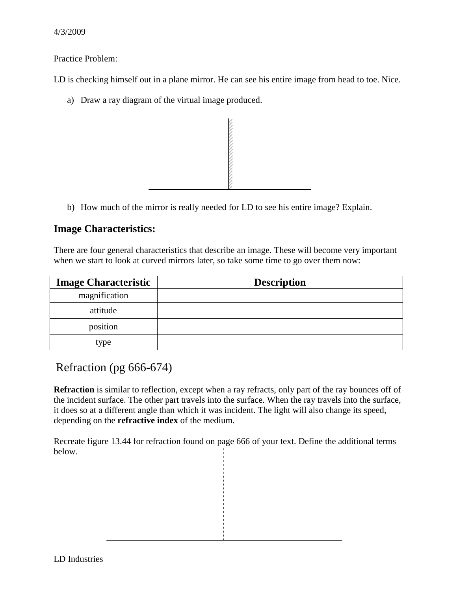Practice Problem:

LD is checking himself out in a plane mirror. He can see his entire image from head to toe. Nice.

a) Draw a ray diagram of the virtual image produced.



b) How much of the mirror is really needed for LD to see his entire image? Explain.

## **Image Characteristics:**

There are four general characteristics that describe an image. These will become very important when we start to look at curved mirrors later, so take some time to go over them now:

| <b>Image Characteristic</b> | <b>Description</b> |
|-----------------------------|--------------------|
| magnification               |                    |
| attitude                    |                    |
| position                    |                    |
| type                        |                    |

## Refraction (pg 666-674)

**Refraction** is similar to reflection, except when a ray refracts, only part of the ray bounces off of the incident surface. The other part travels into the surface. When the ray travels into the surface, it does so at a different angle than which it was incident. The light will also change its speed, depending on the **refractive index** of the medium.

Recreate figure 13.44 for refraction found on page 666 of your text. Define the additional terms below.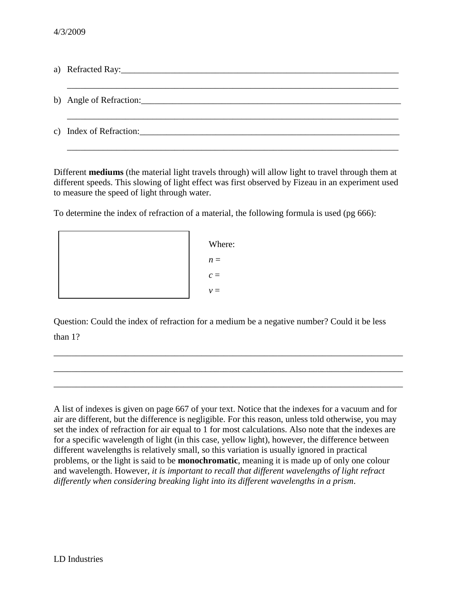Different **mediums** (the material light travels through) will allow light to travel through them at different speeds. This slowing of light effect was first observed by Fizeau in an experiment used to measure the speed of light through water.

To determine the index of refraction of a material, the following formula is used (pg 666):

Where:  $n =$  $c =$  $v =$ 

Question: Could the index of refraction for a medium be a negative number? Could it be less than 1?

\_\_\_\_\_\_\_\_\_\_\_\_\_\_\_\_\_\_\_\_\_\_\_\_\_\_\_\_\_\_\_\_\_\_\_\_\_\_\_\_\_\_\_\_\_\_\_\_\_\_\_\_\_\_\_\_\_\_\_\_\_\_\_\_\_\_\_\_\_\_\_\_\_\_\_\_\_\_

\_\_\_\_\_\_\_\_\_\_\_\_\_\_\_\_\_\_\_\_\_\_\_\_\_\_\_\_\_\_\_\_\_\_\_\_\_\_\_\_\_\_\_\_\_\_\_\_\_\_\_\_\_\_\_\_\_\_\_\_\_\_\_\_\_\_\_\_\_\_\_\_\_\_\_\_\_\_

\_\_\_\_\_\_\_\_\_\_\_\_\_\_\_\_\_\_\_\_\_\_\_\_\_\_\_\_\_\_\_\_\_\_\_\_\_\_\_\_\_\_\_\_\_\_\_\_\_\_\_\_\_\_\_\_\_\_\_\_\_\_\_\_\_\_\_\_\_\_\_\_\_\_\_\_\_\_

A list of indexes is given on page 667 of your text. Notice that the indexes for a vacuum and for air are different, but the difference is negligible. For this reason, unless told otherwise, you may set the index of refraction for air equal to 1 for most calculations. Also note that the indexes are for a specific wavelength of light (in this case, yellow light), however, the difference between different wavelengths is relatively small, so this variation is usually ignored in practical problems, or the light is said to be **monochromatic**, meaning it is made up of only one colour and wavelength. However, *it is important to recall that different wavelengths of light refract differently when considering breaking light into its different wavelengths in a prism*.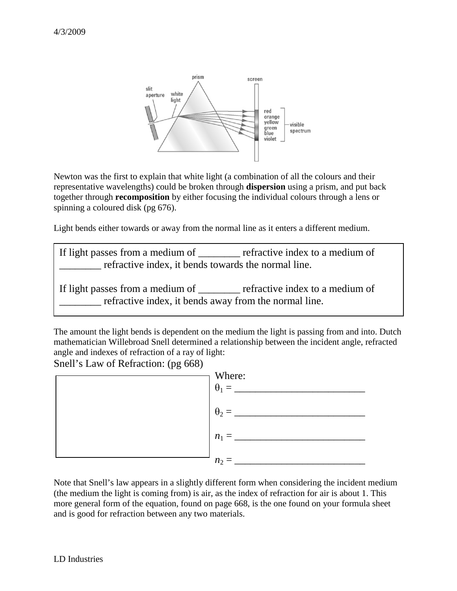

Newton was the first to explain that white light (a combination of all the colours and their representative wavelengths) could be broken through **dispersion** using a prism, and put back together through **recomposition** by either focusing the individual colours through a lens or spinning a coloured disk (pg 676).

Light bends either towards or away from the normal line as it enters a different medium.

If light passes from a medium of refractive index to a medium of \_\_\_\_\_\_\_\_ refractive index, it bends towards the normal line. If light passes from a medium of <u>equilibrative index</u> to a medium of \_\_\_\_\_\_\_\_ refractive index, it bends away from the normal line.

The amount the light bends is dependent on the medium the light is passing from and into. Dutch mathematician Willebroad Snell determined a relationship between the incident angle, refracted angle and indexes of refraction of a ray of light:

Snell's Law of Refraction: (pg 668)



Note that Snell's law appears in a slightly different form when considering the incident medium (the medium the light is coming from) is air, as the index of refraction for air is about 1. This more general form of the equation, found on page 668, is the one found on your formula sheet and is good for refraction between any two materials.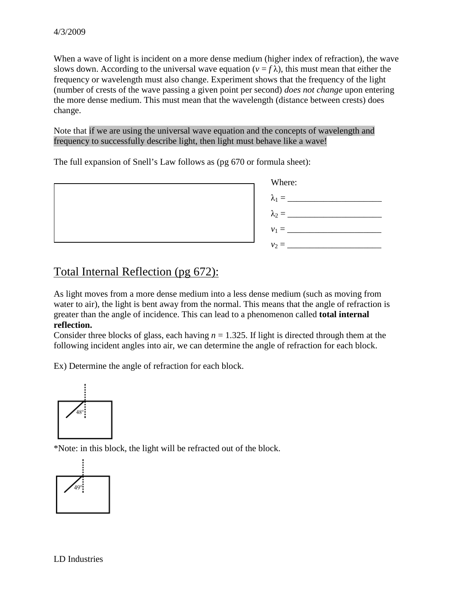When a wave of light is incident on a more dense medium (higher index of refraction), the wave slows down. According to the universal wave equation ( $v = f \lambda$ ), this must mean that either the frequency or wavelength must also change. Experiment shows that the frequency of the light (number of crests of the wave passing a given point per second) *does not change* upon entering the more dense medium. This must mean that the wavelength (distance between crests) does change.

Note that if we are using the universal wave equation and the concepts of wavelength and frequency to successfully describe light, then light must behave like a wave!

The full expansion of Snell's Law follows as (pg 670 or formula sheet):



# Total Internal Reflection (pg 672):

As light moves from a more dense medium into a less dense medium (such as moving from water to air), the light is bent away from the normal. This means that the angle of refraction is greater than the angle of incidence. This can lead to a phenomenon called **total internal reflection.**

Consider three blocks of glass, each having  $n = 1.325$ . If light is directed through them at the following incident angles into air, we can determine the angle of refraction for each block.

Ex) Determine the angle of refraction for each block.



\*Note: in this block, the light will be refracted out of the block.